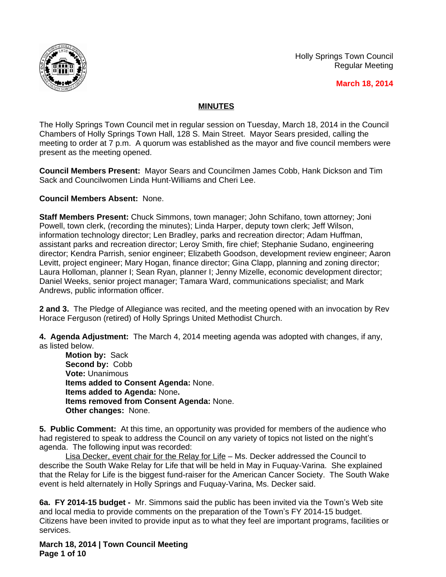

Holly Springs Town Council Regular Meeting

 **March 18, 2014**

## **MINUTES**

The Holly Springs Town Council met in regular session on Tuesday, March 18, 2014 in the Council Chambers of Holly Springs Town Hall, 128 S. Main Street. Mayor Sears presided, calling the meeting to order at 7 p.m. A quorum was established as the mayor and five council members were present as the meeting opened.

**Council Members Present:** Mayor Sears and Councilmen James Cobb, Hank Dickson and Tim Sack and Councilwomen Linda Hunt-Williams and Cheri Lee.

## **Council Members Absent:** None.

**Staff Members Present:** Chuck Simmons, town manager; John Schifano, town attorney; Joni Powell, town clerk, (recording the minutes); Linda Harper, deputy town clerk; Jeff Wilson, information technology director; Len Bradley, parks and recreation director; Adam Huffman, assistant parks and recreation director; Leroy Smith, fire chief; Stephanie Sudano, engineering director; Kendra Parrish, senior engineer; Elizabeth Goodson, development review engineer; Aaron Levitt, project engineer; Mary Hogan, finance director; Gina Clapp, planning and zoning director; Laura Holloman, planner I; Sean Ryan, planner I; Jenny Mizelle, economic development director; Daniel Weeks, senior project manager; Tamara Ward, communications specialist; and Mark Andrews, public information officer.

**2 and 3.** The Pledge of Allegiance was recited, and the meeting opened with an invocation by Rev Horace Ferguson (retired) of Holly Springs United Methodist Church.

**4. Agenda Adjustment:** The March 4, 2014 meeting agenda was adopted with changes, if any, as listed below.

**Motion by:** Sack **Second by:** Cobb **Vote:** Unanimous **Items added to Consent Agenda:** None. **Items added to Agenda:** None**. Items removed from Consent Agenda:** None. **Other changes:** None.

**5. Public Comment:** At this time, an opportunity was provided for members of the audience who had registered to speak to address the Council on any variety of topics not listed on the night's agenda. The following input was recorded:

Lisa Decker, event chair for the Relay for Life - Ms. Decker addressed the Council to describe the South Wake Relay for Life that will be held in May in Fuquay-Varina. She explained that the Relay for Life is the biggest fund-raiser for the American Cancer Society. The South Wake event is held alternately in Holly Springs and Fuquay-Varina, Ms. Decker said.

**6a. FY 2014-15 budget -** Mr. Simmons said the public has been invited via the Town's Web site and local media to provide comments on the preparation of the Town's FY 2014-15 budget. Citizens have been invited to provide input as to what they feel are important programs, facilities or services.

**March 18, 2014 | Town Council Meeting Page 1 of 10**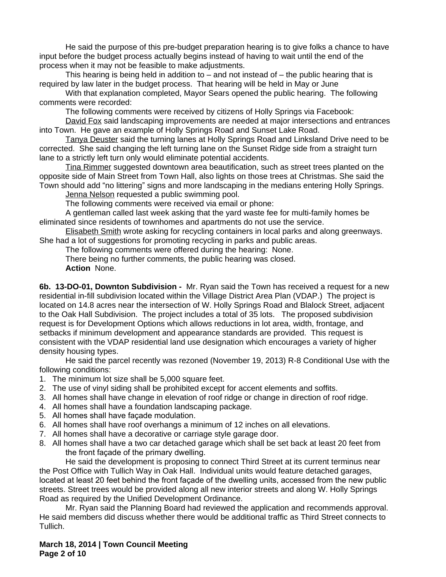He said the purpose of this pre-budget preparation hearing is to give folks a chance to have input before the budget process actually begins instead of having to wait until the end of the process when it may not be feasible to make adjustments.

This hearing is being held in addition to  $-$  and not instead of  $-$  the public hearing that is required by law later in the budget process. That hearing will be held in May or June

With that explanation completed, Mayor Sears opened the public hearing. The following comments were recorded:

The following comments were received by citizens of Holly Springs via Facebook:

David Fox said landscaping improvements are needed at major intersections and entrances into Town. He gave an example of Holly Springs Road and Sunset Lake Road.

Tanya Deuster said the turning lanes at Holly Springs Road and Linksland Drive need to be corrected. She said changing the left turning lane on the Sunset Ridge side from a straight turn lane to a strictly left turn only would eliminate potential accidents.

Tina Rimmer suggested downtown area beautification, such as street trees planted on the opposite side of Main Street from Town Hall, also lights on those trees at Christmas. She said the Town should add "no littering" signs and more landscaping in the medians entering Holly Springs.

Jenna Nelson requested a public swimming pool.

The following comments were received via email or phone:

A gentleman called last week asking that the yard waste fee for multi-family homes be eliminated since residents of townhomes and apartments do not use the service.

Elisabeth Smith wrote asking for recycling containers in local parks and along greenways. She had a lot of suggestions for promoting recycling in parks and public areas.

The following comments were offered during the hearing: None.

There being no further comments, the public hearing was closed.

**Action** None.

**6b. 13-DO-01, Downton Subdivision -** Mr. Ryan said the Town has received a request for a new residential in-fill subdivision located within the Village District Area Plan (VDAP.) The project is located on 14.8 acres near the intersection of W. Holly Springs Road and Blalock Street, adjacent to the Oak Hall Subdivision. The project includes a total of 35 lots. The proposed subdivision request is for Development Options which allows reductions in lot area, width, frontage, and setbacks if minimum development and appearance standards are provided. This request is consistent with the VDAP residential land use designation which encourages a variety of higher density housing types.

He said the parcel recently was rezoned (November 19, 2013) R-8 Conditional Use with the following conditions:

- 1. The minimum lot size shall be 5,000 square feet.
- 2. The use of vinyl siding shall be prohibited except for accent elements and soffits.
- 3. All homes shall have change in elevation of roof ridge or change in direction of roof ridge.
- 4. All homes shall have a foundation landscaping package.
- 5. All homes shall have façade modulation.
- 6. All homes shall have roof overhangs a minimum of 12 inches on all elevations.
- 7. All homes shall have a decorative or carriage style garage door.
- 8. All homes shall have a two car detached garage which shall be set back at least 20 feet from the front façade of the primary dwelling.

He said the development is proposing to connect Third Street at its current terminus near the Post Office with Tullich Way in Oak Hall. Individual units would feature detached garages, located at least 20 feet behind the front façade of the dwelling units, accessed from the new public streets. Street trees would be provided along all new interior streets and along W. Holly Springs Road as required by the Unified Development Ordinance.

Mr. Ryan said the Planning Board had reviewed the application and recommends approval. He said members did discuss whether there would be additional traffic as Third Street connects to Tullich.

**March 18, 2014 | Town Council Meeting Page 2 of 10**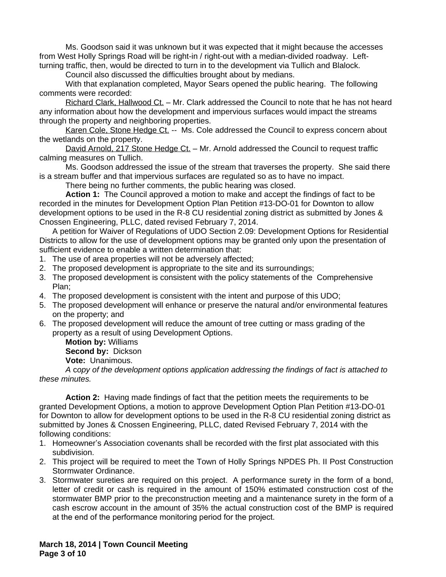Ms. Goodson said it was unknown but it was expected that it might because the accesses from West Holly Springs Road will be right-in / right-out with a median-divided roadway. Leftturning traffic, then, would be directed to turn in to the development via Tullich and Blalock.

Council also discussed the difficulties brought about by medians.

With that explanation completed, Mayor Sears opened the public hearing. The following comments were recorded:

Richard Clark, Hallwood Ct. – Mr. Clark addressed the Council to note that he has not heard any information about how the development and impervious surfaces would impact the streams through the property and neighboring properties.

Karen Cole, Stone Hedge Ct. -- Ms. Cole addressed the Council to express concern about the wetlands on the property.

David Arnold, 217 Stone Hedge Ct. - Mr. Arnold addressed the Council to request traffic calming measures on Tullich.

Ms. Goodson addressed the issue of the stream that traverses the property. She said there is a stream buffer and that impervious surfaces are regulated so as to have no impact.

There being no further comments, the public hearing was closed.

**Action 1:** The Council approved a motion to make and accept the findings of fact to be recorded in the minutes for Development Option Plan Petition #13-DO-01 for Downton to allow development options to be used in the R-8 CU residential zoning district as submitted by Jones & Cnossen Engineering, PLLC, dated revised February 7, 2014.

A petition for Waiver of Regulations of UDO Section 2.09: Development Options for Residential Districts to allow for the use of development options may be granted only upon the presentation of sufficient evidence to enable a written determination that:

- 1. The use of area properties will not be adversely affected;
- 2. The proposed development is appropriate to the site and its surroundings;
- 3. The proposed development is consistent with the policy statements of the Comprehensive Plan;
- 4. The proposed development is consistent with the intent and purpose of this UDO;
- 5. The proposed development will enhance or preserve the natural and/or environmental features on the property; and
- 6. The proposed development will reduce the amount of tree cutting or mass grading of the property as a result of using Development Options.

**Motion by:** Williams **Second by:** Dickson

**Vote:** Unanimous.

*A* c*opy of the development options application addressing the findings of fact is attached to these minutes.*

**Action 2:** Having made findings of fact that the petition meets the requirements to be granted Development Options, a motion to approve Development Option Plan Petition #13-DO-01 for Downton to allow for development options to be used in the R-8 CU residential zoning district as submitted by Jones & Cnossen Engineering, PLLC, dated Revised February 7, 2014 with the following conditions:

- 1. Homeowner's Association covenants shall be recorded with the first plat associated with this subdivision.
- 2. This project will be required to meet the Town of Holly Springs NPDES Ph. II Post Construction Stormwater Ordinance.
- 3. Stormwater sureties are required on this project. A performance surety in the form of a bond, letter of credit or cash is required in the amount of 150% estimated construction cost of the stormwater BMP prior to the preconstruction meeting and a maintenance surety in the form of a cash escrow account in the amount of 35% the actual construction cost of the BMP is required at the end of the performance monitoring period for the project.

**March 18, 2014 | Town Council Meeting Page 3 of 10**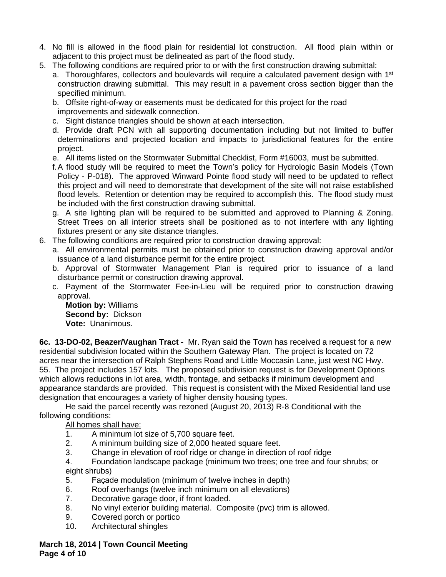- 4. No fill is allowed in the flood plain for residential lot construction. All flood plain within or adjacent to this project must be delineated as part of the flood study.
- 5. The following conditions are required prior to or with the first construction drawing submittal:
	- a. Thoroughfares, collectors and boulevards will require a calculated pavement design with 1<sup>st</sup> construction drawing submittal. This may result in a pavement cross section bigger than the specified minimum.
	- b. Offsite right-of-way or easements must be dedicated for this project for the road improvements and sidewalk connection.
	- c. Sight distance triangles should be shown at each intersection.
	- d. Provide draft PCN with all supporting documentation including but not limited to buffer determinations and projected location and impacts to jurisdictional features for the entire project.
	- e. All items listed on the Stormwater Submittal Checklist, Form #16003, must be submitted.
	- f.A flood study will be required to meet the Town's policy for Hydrologic Basin Models (Town Policy - P-018). The approved Winward Pointe flood study will need to be updated to reflect this project and will need to demonstrate that development of the site will not raise established flood levels. Retention or detention may be required to accomplish this. The flood study must be included with the first construction drawing submittal.
	- g. A site lighting plan will be required to be submitted and approved to Planning & Zoning. Street Trees on all interior streets shall be positioned as to not interfere with any lighting fixtures present or any site distance triangles.
- 6. The following conditions are required prior to construction drawing approval:
	- a. All environmental permits must be obtained prior to construction drawing approval and/or issuance of a land disturbance permit for the entire project.
	- b. Approval of Stormwater Management Plan is required prior to issuance of a land disturbance permit or construction drawing approval.
	- c. Payment of the Stormwater Fee-in-Lieu will be required prior to construction drawing approval.

**Motion by:** Williams **Second by:** Dickson **Vote:** Unanimous.

**6c. 13-DO-02, Beazer/Vaughan Tract -** Mr. Ryan said the Town has received a request for a new residential subdivision located within the Southern Gateway Plan. The project is located on 72 acres near the intersection of Ralph Stephens Road and Little Moccasin Lane, just west NC Hwy. 55. The project includes 157 lots. The proposed subdivision request is for Development Options which allows reductions in lot area, width, frontage, and setbacks if minimum development and appearance standards are provided. This request is consistent with the Mixed Residential land use designation that encourages a variety of higher density housing types.

He said the parcel recently was rezoned (August 20, 2013) R-8 Conditional with the following conditions:

All homes shall have:

- 1. A minimum lot size of 5,700 square feet.
- 2. A minimum building size of 2,000 heated square feet.
- 3. Change in elevation of roof ridge or change in direction of roof ridge
- 4. Foundation landscape package (minimum two trees; one tree and four shrubs; or eight shrubs)
- 5. Façade modulation (minimum of twelve inches in depth)
- 6. Roof overhangs (twelve inch minimum on all elevations)
- 7. Decorative garage door, if front loaded.
- 8. No vinyl exterior building material. Composite (pvc) trim is allowed.
- 9. Covered porch or portico
- 10. Architectural shingles

**March 18, 2014 | Town Council Meeting Page 4 of 10**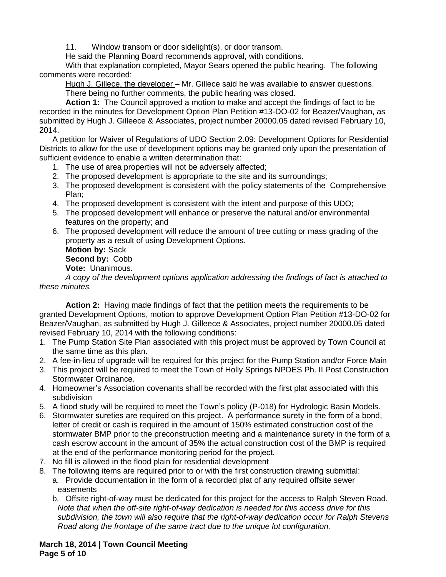11. Window transom or door sidelight(s), or door transom.

He said the Planning Board recommends approval, with conditions.

With that explanation completed, Mayor Sears opened the public hearing. The following comments were recorded:

Hugh J. Gillece, the developer - Mr. Gillece said he was available to answer questions. There being no further comments, the public hearing was closed.

**Action 1:** The Council approved a motion to make and accept the findings of fact to be recorded in the minutes for Development Option Plan Petition #13-DO-02 for Beazer/Vaughan, as submitted by Hugh J. Gilleece & Associates, project number 20000.05 dated revised February 10, 2014.

A petition for Waiver of Regulations of UDO Section 2.09: Development Options for Residential Districts to allow for the use of development options may be granted only upon the presentation of sufficient evidence to enable a written determination that:

- 1. The use of area properties will not be adversely affected;
- 2. The proposed development is appropriate to the site and its surroundings;
- 3. The proposed development is consistent with the policy statements of the Comprehensive Plan;
- 4. The proposed development is consistent with the intent and purpose of this UDO;
- 5. The proposed development will enhance or preserve the natural and/or environmental features on the property; and
- 6. The proposed development will reduce the amount of tree cutting or mass grading of the property as a result of using Development Options.

**Motion by:** Sack **Second by:** Cobb **Vote:** Unanimous.

*A* c*opy of the development options application addressing the findings of fact is attached to these minutes.*

**Action 2:** Having made findings of fact that the petition meets the requirements to be granted Development Options, motion to approve Development Option Plan Petition #13-DO-02 for Beazer/Vaughan, as submitted by Hugh J. Gilleece & Associates, project number 20000.05 dated revised February 10, 2014 with the following conditions:

- 1. The Pump Station Site Plan associated with this project must be approved by Town Council at the same time as this plan.
- 2. A fee-in-lieu of upgrade will be required for this project for the Pump Station and/or Force Main
- 3. This project will be required to meet the Town of Holly Springs NPDES Ph. II Post Construction Stormwater Ordinance.
- 4. Homeowner's Association covenants shall be recorded with the first plat associated with this subdivision
- 5. A flood study will be required to meet the Town's policy (P-018) for Hydrologic Basin Models.
- 6. Stormwater sureties are required on this project. A performance surety in the form of a bond, letter of credit or cash is required in the amount of 150% estimated construction cost of the stormwater BMP prior to the preconstruction meeting and a maintenance surety in the form of a cash escrow account in the amount of 35% the actual construction cost of the BMP is required at the end of the performance monitoring period for the project.
- 7. No fill is allowed in the flood plain for residential development
- 8. The following items are required prior to or with the first construction drawing submittal: a. Provide documentation in the form of a recorded plat of any required offsite sewer easements
	- b. Offsite right-of-way must be dedicated for this project for the access to Ralph Steven Road. *Note that when the off-site right-of-way dedication is needed for this access drive for this subdivision, the town will also require that the right-of-way dedication occur for Ralph Stevens Road along the frontage of the same tract due to the unique lot configuration.*

**March 18, 2014 | Town Council Meeting Page 5 of 10**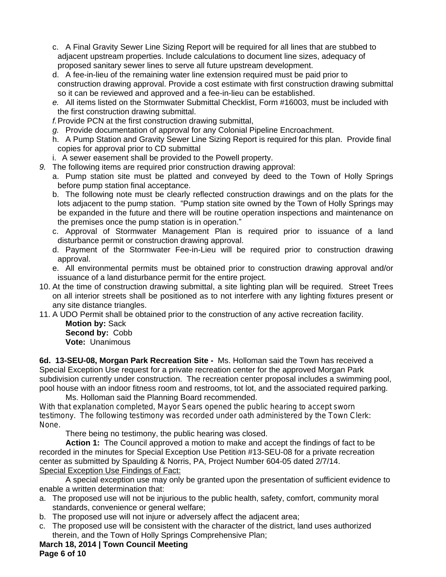- c. A Final Gravity Sewer Line Sizing Report will be required for all lines that are stubbed to adjacent upstream properties. Include calculations to document line sizes, adequacy of proposed sanitary sewer lines to serve all future upstream development.
- d. A fee-in-lieu of the remaining water line extension required must be paid prior to construction drawing approval. Provide a cost estimate with first construction drawing submittal so it can be reviewed and approved and a fee-in-lieu can be established.
- *e.* All items listed on the Stormwater Submittal Checklist, Form #16003, must be included with the first construction drawing submittal.
- *f.*Provide PCN at the first construction drawing submittal,
- *g.* Provide documentation of approval for any Colonial Pipeline Encroachment.
- h. A Pump Station and Gravity Sewer Line Sizing Report is required for this plan. Provide final copies for approval prior to CD submittal
- i. A sewer easement shall be provided to the Powell property.
- *9.* The following items are required prior construction drawing approval:
	- a. Pump station site must be platted and conveyed by deed to the Town of Holly Springs before pump station final acceptance.
	- b. The following note must be clearly reflected construction drawings and on the plats for the lots adjacent to the pump station. "Pump station site owned by the Town of Holly Springs may be expanded in the future and there will be routine operation inspections and maintenance on the premises once the pump station is in operation."
	- c. Approval of Stormwater Management Plan is required prior to issuance of a land disturbance permit or construction drawing approval.
	- d. Payment of the Stormwater Fee-in-Lieu will be required prior to construction drawing approval.
	- e. All environmental permits must be obtained prior to construction drawing approval and/or issuance of a land disturbance permit for the entire project.
- 10. At the time of construction drawing submittal, a site lighting plan will be required. Street Trees on all interior streets shall be positioned as to not interfere with any lighting fixtures present or any site distance triangles.
- 11. A UDO Permit shall be obtained prior to the construction of any active recreation facility.

**Motion by:** Sack **Second by:** Cobb **Vote:** Unanimous

**6d. 13-SEU-08, Morgan Park Recreation Site -** Ms. Holloman said the Town has received a Special Exception Use request for a private recreation center for the approved Morgan Park subdivision currently under construction. The recreation center proposal includes a swimming pool, pool house with an indoor fitness room and restrooms, tot lot, and the associated required parking.

Ms. Holloman said the Planning Board recommended. With that explanation completed, Mayor Sears opened the public hearing to accept sworn testimony. The following testimony was recorded under oath administered by the Town Clerk: None.

There being no testimony, the public hearing was closed.

**Action 1:** The Council approved a motion to make and accept the findings of fact to be recorded in the minutes for Special Exception Use Petition #13-SEU-08 for a private recreation center as submitted by Spaulding & Norris, PA, Project Number 604-05 dated 2/7/14. Special Exception Use Findings of Fact:

A special exception use may only be granted upon the presentation of sufficient evidence to enable a written determination that:

- a. The proposed use will not be injurious to the public health, safety, comfort, community moral standards, convenience or general welfare;
- b. The proposed use will not injure or adversely affect the adjacent area;
- c. The proposed use will be consistent with the character of the district, land uses authorized therein, and the Town of Holly Springs Comprehensive Plan;

**March 18, 2014 | Town Council Meeting**

**Page 6 of 10**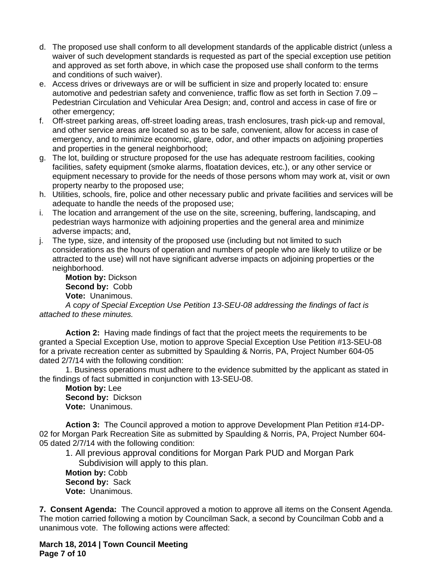- d. The proposed use shall conform to all development standards of the applicable district (unless a waiver of such development standards is requested as part of the special exception use petition and approved as set forth above, in which case the proposed use shall conform to the terms and conditions of such waiver).
- e. Access drives or driveways are or will be sufficient in size and properly located to: ensure automotive and pedestrian safety and convenience, traffic flow as set forth in Section 7.09 – Pedestrian Circulation and Vehicular Area Design; and, control and access in case of fire or other emergency;
- f. Off-street parking areas, off-street loading areas, trash enclosures, trash pick-up and removal, and other service areas are located so as to be safe, convenient, allow for access in case of emergency, and to minimize economic, glare, odor, and other impacts on adjoining properties and properties in the general neighborhood;
- g. The lot, building or structure proposed for the use has adequate restroom facilities, cooking facilities, safety equipment (smoke alarms, floatation devices, etc.), or any other service or equipment necessary to provide for the needs of those persons whom may work at, visit or own property nearby to the proposed use;
- h. Utilities, schools, fire, police and other necessary public and private facilities and services will be adequate to handle the needs of the proposed use;
- i. The location and arrangement of the use on the site, screening, buffering, landscaping, and pedestrian ways harmonize with adjoining properties and the general area and minimize adverse impacts; and,
- j. The type, size, and intensity of the proposed use (including but not limited to such considerations as the hours of operation and numbers of people who are likely to utilize or be attracted to the use) will not have significant adverse impacts on adjoining properties or the neighborhood.

**Motion by:** Dickson **Second by:** Cobb **Vote:** Unanimous.

*A* c*opy of Special Exception Use Petition 13-SEU-08 addressing the findings of fact is attached to these minutes.*

**Action 2:** Having made findings of fact that the project meets the requirements to be granted a Special Exception Use, motion to approve Special Exception Use Petition #13-SEU-08 for a private recreation center as submitted by Spaulding & Norris, PA, Project Number 604-05 dated 2/7/14 with the following condition:

1. Business operations must adhere to the evidence submitted by the applicant as stated in the findings of fact submitted in conjunction with 13-SEU-08.

**Motion by:** Lee **Second by:** Dickson **Vote:** Unanimous.

**Action 3:** The Council approved a motion to approve Development Plan Petition #14-DP-02 for Morgan Park Recreation Site as submitted by Spaulding & Norris, PA, Project Number 604- 05 dated 2/7/14 with the following condition:

1. All previous approval conditions for Morgan Park PUD and Morgan Park Subdivision will apply to this plan.

**Motion by:** Cobb **Second by:** Sack **Vote:** Unanimous.

**7. Consent Agenda:** The Council approved a motion to approve all items on the Consent Agenda. The motion carried following a motion by Councilman Sack, a second by Councilman Cobb and a unanimous vote. The following actions were affected:

**March 18, 2014 | Town Council Meeting Page 7 of 10**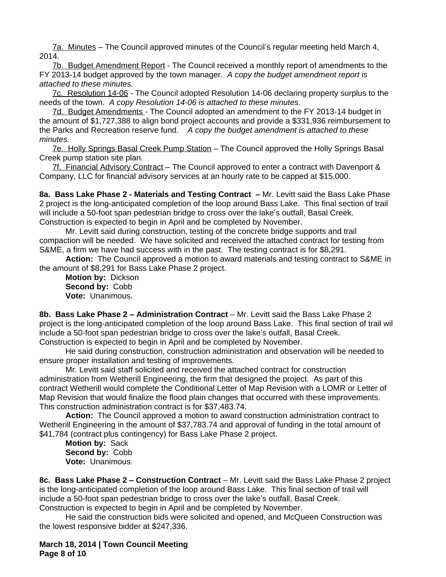7a. Minutes – The Council approved minutes of the Council's regular meeting held March 4, 2014.

7b. Budget Amendment Report - The Council received a monthly report of amendments to the FY 2013-14 budget approved by the town manager.*A copy the budget amendment report is attached to these minutes.*

7c. Resolution 14-06 - The Council adopted Resolution 14-06 declaring property surplus to the needs of the town.*A copy Resolution 14-06 is attached to these minutes.*

7d. Budget Amendments - The Council adopted an amendment to the FY 2013-14 budget in the amount of \$1,727,388 to align bond project accounts and provide a \$331,936 reimbursement to the Parks and Recreation reserve fund. *A copy the budget amendment is attached to these minutes.*

7e. Holly Springs Basal Creek Pump Station – The Council approved the Holly Springs Basal Creek pump station site plan.

7f. Financial Advisory Contract – The Council approved to enter a contract with Davenport & Company, LLC for financial advisory services at an hourly rate to be capped at \$15,000.

**8a. Bass Lake Phase 2 - Materials and Testing Contract –** Mr. Levitt said the Bass Lake Phase 2 project is the long-anticipated completion of the loop around Bass Lake. This final section of trail will include a 50-foot span pedestrian bridge to cross over the lake's outfall, Basal Creek. Construction is expected to begin in April and be completed by November.

Mr. Levitt said during construction, testing of the concrete bridge supports and trail compaction will be needed. We have solicited and received the attached contract for testing from S&ME, a firm we have had success with in the past. The testing contract is for \$8,291.

**Action:** The Council approved a motion to award materials and testing contract to S&ME in the amount of \$8,291 for Bass Lake Phase 2 project.

**Motion by:** Dickson **Second by:** Cobb **Vote:** Unanimous.

**8b. Bass Lake Phase 2 – Administration Contract** – Mr. Levitt said the Bass Lake Phase 2 project is the long-anticipated completion of the loop around Bass Lake. This final section of trail will include a 50-foot span pedestrian bridge to cross over the lake's outfall, Basal Creek. Construction is expected to begin in April and be completed by November.

He said during construction, construction administration and observation will be needed to ensure proper installation and testing of improvements.

Mr. Levitt said staff solicited and received the attached contract for construction administration from Wetherill Engineering, the firm that designed the project. As part of this contract Wetherill would complete the Conditional Letter of Map Revision with a LOMR or Letter of Map Revision that would finalize the flood plain changes that occurred with these improvements. This construction administration contract is for \$37,483.74.

**Action:** The Council approved a motion to award construction administration contract to Wetherill Engineering in the amount of \$37,783.74 and approval of funding in the total amount of \$41,784 (contract plus contingency) for Bass Lake Phase 2 project.

**Motion by:** Sack **Second by:** Cobb **Vote:** Unanimous.

**8c. Bass Lake Phase 2 – Construction Contract** – Mr. Levitt said the Bass Lake Phase 2 project is the long-anticipated completion of the loop around Bass Lake. This final section of trail will include a 50-foot span pedestrian bridge to cross over the lake's outfall, Basal Creek. Construction is expected to begin in April and be completed by November.

He said the construction bids were solicited and opened, and McQueen Construction was the lowest responsive bidder at \$247,336.

**March 18, 2014 | Town Council Meeting Page 8 of 10**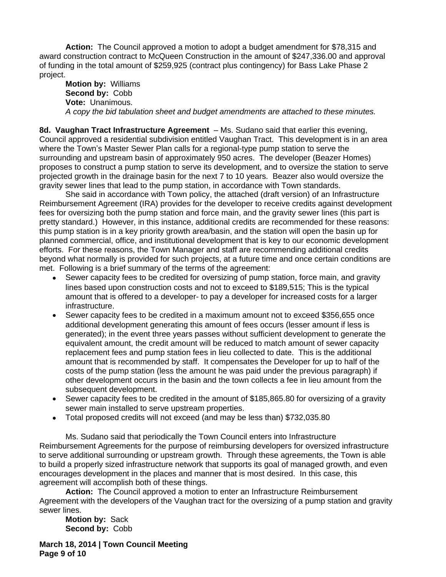**Action:** The Council approved a motion to adopt a budget amendment for \$78,315 and award construction contract to McQueen Construction in the amount of \$247,336.00 and approval of funding in the total amount of \$259,925 (contract plus contingency) for Bass Lake Phase 2 project.

**Motion by:** Williams **Second by:** Cobb **Vote:** Unanimous. *A copy the bid tabulation sheet and budget amendments are attached to these minutes.*

**8d. Vaughan Tract Infrastructure Agreement** – Ms. Sudano said that earlier this evening, Council approved a residential subdivision entitled Vaughan Tract. This development is in an area where the Town's Master Sewer Plan calls for a regional-type pump station to serve the surrounding and upstream basin of approximately 950 acres. The developer (Beazer Homes) proposes to construct a pump station to serve its development, and to oversize the station to serve projected growth in the drainage basin for the next 7 to 10 years. Beazer also would oversize the gravity sewer lines that lead to the pump station, in accordance with Town standards.

She said in accordance with Town policy, the attached (draft version) of an Infrastructure Reimbursement Agreement (IRA) provides for the developer to receive credits against development fees for oversizing both the pump station and force main, and the gravity sewer lines (this part is pretty standard.) However, in this instance, additional credits are recommended for these reasons: this pump station is in a key priority growth area/basin, and the station will open the basin up for planned commercial, office, and institutional development that is key to our economic development efforts. For these reasons, the Town Manager and staff are recommending additional credits beyond what normally is provided for such projects, at a future time and once certain conditions are met. Following is a brief summary of the terms of the agreement:

- Sewer capacity fees to be credited for oversizing of pump station, force main, and gravity lines based upon construction costs and not to exceed to \$189,515; This is the typical amount that is offered to a developer- to pay a developer for increased costs for a larger infrastructure.
- Sewer capacity fees to be credited in a maximum amount not to exceed \$356,655 once additional development generating this amount of fees occurs (lesser amount if less is generated); in the event three years passes without sufficient development to generate the equivalent amount, the credit amount will be reduced to match amount of sewer capacity replacement fees and pump station fees in lieu collected to date. This is the additional amount that is recommended by staff. It compensates the Developer for up to half of the costs of the pump station (less the amount he was paid under the previous paragraph) if other development occurs in the basin and the town collects a fee in lieu amount from the subsequent development.
- Sewer capacity fees to be credited in the amount of \$185,865.80 for oversizing of a gravity sewer main installed to serve upstream properties.
- Total proposed credits will not exceed (and may be less than) \$732,035.80

Ms. Sudano said that periodically the Town Council enters into Infrastructure Reimbursement Agreements for the purpose of reimbursing developers for oversized infrastructure to serve additional surrounding or upstream growth. Through these agreements, the Town is able to build a properly sized infrastructure network that supports its goal of managed growth, and even encourages development in the places and manner that is most desired. In this case, this agreement will accomplish both of these things.

**Action:** The Council approved a motion to enter an Infrastructure Reimbursement Agreement with the developers of the Vaughan tract for the oversizing of a pump station and gravity sewer lines.

**Motion by:** Sack **Second by:** Cobb

**March 18, 2014 | Town Council Meeting Page 9 of 10**